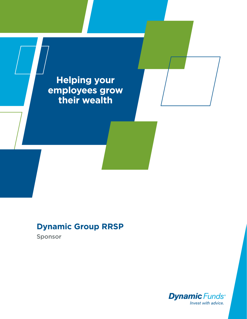**Helping your employees grow their wealth**

# **Dynamic Group RRSP**

Sponsor

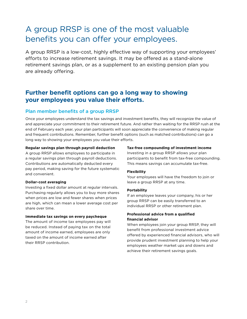# A group RRSP is one of the most valuable benefits you can offer your employees.

A group RRSP is a low-cost, highly effective way of supporting your employees' efforts to increase retirement savings. It may be offered as a stand-alone retirement savings plan, or as a supplement to an existing pension plan you are already offering.

# **Further benefit options can go a long way to showing your employees you value their efforts.**

### Plan member benefits of a group RRSP

Once your employees understand the tax savings and investment benefits, they will recognize the value of and appreciate your commitment to their retirement future. And rather than waiting for the RRSP rush at the end of February each year, your plan participants will soon appreciate the convenience of making regular and frequent contributions. Remember, further benefit options (such as matched contributions) can go a long way to showing your employees you value their efforts.

#### **Regular savings plan through payroll deduction**

A group RRSP allows employees to participate in a regular savings plan through payroll deductions. Contributions are automatically deducted every pay period, making saving for the future systematic and convenient.

#### **Dollar-cost averaging**

Investing a fixed dollar amount at regular intervals. Purchasing regularly allows you to buy more shares when prices are low and fewer shares when prices are high, which can mean a lower average cost per share over time.

#### **Immediate tax savings on every paycheque**

The amount of income tax employees pay will be reduced. Instead of paying tax on the total amount of income earned, employees are only taxed on the amount of income earned after their RRSP contribution.

#### **Tax-free compounding of investment income**

Investing in a group RRSP allows your plan participants to benefit from tax-free compounding. This means savings can accumulate tax-free.

#### **Flexibility**

Your employees will have the freedom to join or leave a group RRSP at any time.

#### **Portability**

If an employee leaves your company, his or her group RRSP can be easily transferred to an individual RRSP or other retirement plan.

#### **Professional advice from a qualified financial advisor**

When employees join your group RRSP, they will benefit from professional investment advice offered by experienced financial advisors, who will provide prudent investment planning to help your employees weather market ups and downs and achieve their retirement savings goals.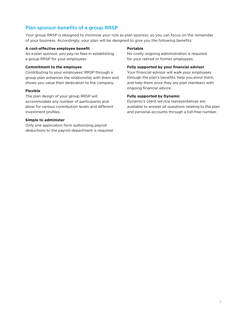## Plan sponsor benefits of a group RRSP

Your group RRSP is designed to minimize your role as plan sponsor, so you can focus on the remainder of your business. Accordingly, your plan will be designed to give you the following benefits:

#### **A cost-effective employee benefit**

As a plan sponsor, you pay no fees in establishing a group RRSP for your employees.

#### **Commitment to the employee**

Contributing to your employees' RRSP through a group plan enhances the relationship with them and shows you value their dedication to the company.

#### **Flexible**

The plan design of your group RRSP will accommodate any number of participants and allow for various contribution levels and different investment profiles.

#### **Simple to administer**

Only one application form authorizing payroll deductions to the payroll department is required.

#### **Portable**

No costly ongoing administration is required for your retired or former employees.

#### **Fully supported by your financial advisor**

Your financial advisor will walk your employees through the plan's benefits, help you enrol them, and help them once they are plan members with ongoing financial advice.

#### **Fully supported by Dynamic**

Dynamic's client service representatives are available to answer all questions relating to the plan and personal accounts through a toll-free number.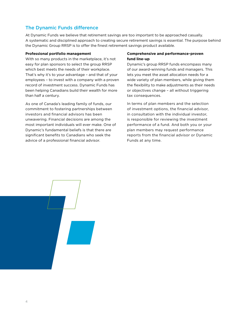# The Dynamic Funds difference

At Dynamic Funds we believe that retirement savings are too important to be approached casually. A systematic and disciplined approach to creating secure retirement savings is essential. The purpose behind the Dynamic Group RRSP is to offer the finest retirement savings product available.

#### **Professional portfolio management**

With so many products in the marketplace, it's not easy for plan sponsors to select the group RRSP which best meets the needs of their workplace. That's why it's to your advantage – and that of your employees – to invest with a company with a proven record of investment success. Dynamic Funds has been helping Canadians build their wealth for more than half a century.

As one of Canada's leading family of funds, our commitment to fostering partnerships between investors and financial advisors has been unwavering. Financial decisions are among the most important individuals will ever make. One of Dynamic's fundamental beliefs is that there are significant benefits to Canadians who seek the advice of a professional financial advisor.

#### **Comprehensive and performance-proven fund line-up**

Dynamic's group RRSP funds encompass many of our award-winning funds and managers. This lets you meet the asset allocation needs for a wide variety of plan members, while giving them the flexibility to make adjustments as their needs or objectives change – all without triggering tax consequences.

In terms of plan members and the selection of investment options, the financial advisor, in consultation with the individual investor, is responsible for reviewing the investment performance of a fund. And both you or your plan members may request performance reports from the financial advisor or Dynamic Funds at any time.

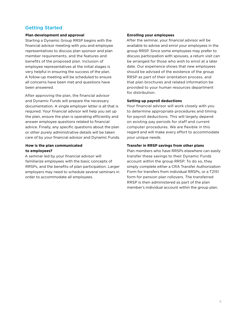### Getting Started

#### **Plan development and approval**

Starting a Dynamic Group RRSP begins with the financial advisor meeting with you and employee representatives to discuss plan sponsor and plan member requirements, and the features and benefits of the proposed plan. Inclusion of employee representatives at the initial stages is very helpful in ensuring the success of the plan. A follow-up meeting will be scheduled to ensure all concerns have been met and questions have been answered.

After approving the plan, the financial advisor and Dynamic Funds will prepare the necessary documentation. A single employer letter is all that is required. Your financial advisor will help you set up the plan, ensure the plan is operating efficiently and answer employee questions related to financial advice. Finally, any specific questions about the plan or other purely administrative details will be taken care of by your financial advisor and Dynamic Funds.

#### **How is the plan communicated to employees?**

A seminar led by your financial advisor will familiarize employees with the basic concepts of RRSPs, and the benefits of plan participation. Larger employers may need to schedule several seminars in order to accommodate all employees.

#### **Enrolling your employees**

After the seminar, your financial advisor will be available to advise and enrol your employees in the group RRSP. Since some employees may prefer to discuss participation with spouses, a return visit can be arranged for those who wish to enrol at a later date. Our experience shows that new employees should be advised of the existence of the group RRSP as part of their orientation process, and that plan brochures and related information be provided to your human resources department for distribution.

#### **Setting up payroll deductions**

Your financial advisor will work closely with you to determine appropriate procedures and timing for payroll deductions. This will largely depend on existing pay periods for staff and current computer procedures. We are flexible in this regard and will make every effort to accommodate your unique needs.

#### **Transfer in RRSP savings from other plans**

Plan members who have RRSPs elsewhere can easily transfer these savings to their Dynamic Funds account within the group RRSP. To do so, they simply complete either a CRA Transfer Authorization Form for transfers from individual RRSPs, or a T2151 form for pension plan rollovers. The transferred RRSP is then administered as part of the plan member's individual account within the group plan.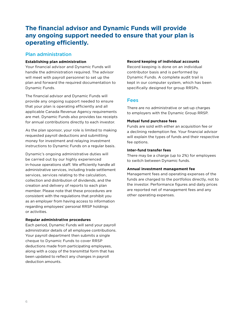# **The financial advisor and Dynamic Funds will provide any ongoing support needed to ensure that your plan is operating efficiently.**

### Plan administration

#### **Establishing plan administration**

Your financial advisor and Dynamic Funds will handle the administration required. The advisor will meet with payroll personnel to set up the plan and forward the required documentation to Dynamic Funds.

The financial advisor and Dynamic Funds will provide any ongoing support needed to ensure that your plan is operating efficiently and all applicable Canada Revenue Agency requirements are met. Dynamic Funds also provides tax receipts for annual contributions directly to each investor.

As the plan sponsor, your role is limited to making requested payroll deductions and submitting money for investment and relaying investment instructions to Dynamic Funds on a regular basis.

Dynamic's ongoing administrative duties will be carried out by our highly experienced in-house operations staff. We efficiently handle all administrative services, including trade settlement services, services relating to the calculation, collection and distribution of dividends, and the creation and delivery of reports to each plan member. Please note that these procedures are consistent with the regulations that prohibit you as an employer from having access to information regarding employees' personal RRSP holdings or activities.

#### **Regular administrative procedures**

Each period, Dynamic Funds will send your payroll administrator details of all employee contributions. Your payroll department then submits a single cheque to Dynamic Funds to cover RRSP deductions made from participating employees, along with a copy of the transmittal form that has been updated to reflect any changes in payroll deduction amounts.

#### **Record keeping of individual accounts**

Record keeping is done on an individual contributor basis and is performed by Dynamic Funds. A complete audit trail is kept in our computer system, which has been specifically designed for group RRSPs.

#### Fees

There are no administrative or set-up charges to employers with the Dynamic Group RRSP.

#### **Mutual fund purchase fees**

Funds are sold with either an acquisition fee or a declining redemption fee. Your financial advisor will explain the types of funds and their respective fee options.

#### **Inter-fund transfer fees**

There may be a charge (up to 2%) for employees to switch between Dynamic funds.

#### **Annual investment management fee**

Management fees and operating expenses of the funds are charged to the portfolios directly, not to the investor. Performance figures and daily prices are reported net of management fees and any other operating expenses.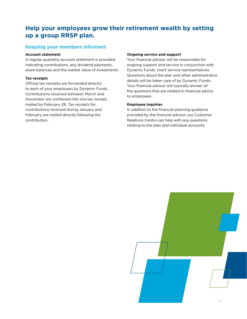# **Help your employees grow their retirement wealth by setting up a group RRSP plan.**

### Keeping your members informed

#### **Account statement**

A regular quarterly account statement is provided indicating contributions, any dividend payments, share balances and the market value of investments.

#### **Tax receipts**

Official tax receipts are forwarded directly to each of your employees by Dynamic Funds. Contributions received between March and December are combined into one tax receipt, mailed by February 28. Tax receipts for contributions received during January and February are mailed directly following the contribution.

#### **Ongoing service and support**

Your financial advisor will be responsible for ongoing support and service in conjunction with Dynamic Funds' client service representatives. Questions about the plan and other administrative details will be taken care of by Dynamic Funds. Your financial advisor will typically answer all the questions that are related to financial advice to employees.

#### **Employee inquiries**

In addition to the financial planning guidance provided by the financial advisor, our Customer Relations Centre can help with any questions relating to the plan and individual accounts.